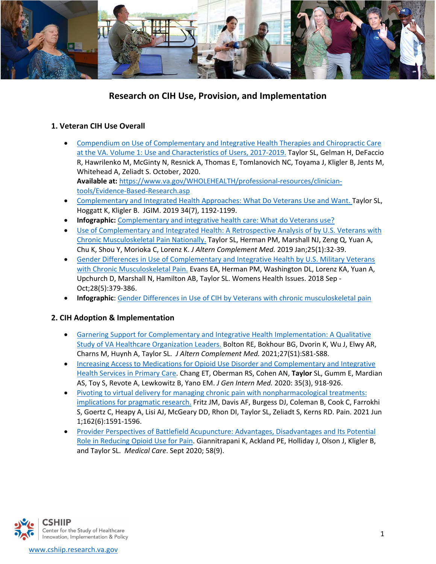

# **Research on CIH Use, Provision, and Implementation**

## **1. Veteran CIH Use Overall**

- [Compendium on Use of Complementary and Integrative Health Therapies and Chiropractic Care](https://www.va.gov/WHOLEHEALTH/docs/CIHEC_Compendium_2020_APR122021.pdf)  [at the VA. Volume 1: Use and Characteristics of Users, 2017-2019.](https://www.va.gov/WHOLEHEALTH/docs/CIHEC_Compendium_2020_APR122021.pdf) Taylor SL, Gelman H, DeFaccio R, Hawrilenko M, McGinty N, Resnick A, Thomas E, [Tomlanovich](mailto:Tomlanovich@va.gov) NC, Toyama J, Kligler B, Jents M, Whitehead A, Zeliadt S. October, 2020. **Available at:** [https://www.va.gov/WHOLEHEALTH/professional-resources/clinician](https://www.va.gov/WHOLEHEALTH/professional-resources/clinician-tools/Evidence-Based-Research.asp)[tools/Evidence-Based-Research.asp](https://www.va.gov/WHOLEHEALTH/professional-resources/clinician-tools/Evidence-Based-Research.asp)
- [Complementary and Integrated Health Approaches: What Do Veterans Use and Want.](https://link.springer.com/article/10.1007%2Fs11606-019-04862-6) Taylor SL, Hoggatt K, Kligler B. JGIM. 2019 34(7), 1192-1199.
- **Infographic:** Complementary and integrative [health care: What do Veterans use?](https://www.research.va.gov/pubs/infographs/cih-use.pdf)
- [Use of Complementary and Integrated Health: A Retrospective](https://www.liebertpub.com/doi/full/10.1089/acm.2018.0276?rfr_dat=cr_pub%3Dpubmed&url_ver=Z39.88-2003&rfr_id=ori%3Arid%3Acrossref.org&journalCode=acm&) Analysis of by U.S. Veterans with [Chronic Musculoskeletal Pain Nationally.](https://www.liebertpub.com/doi/full/10.1089/acm.2018.0276?rfr_dat=cr_pub%3Dpubmed&url_ver=Z39.88-2003&rfr_id=ori%3Arid%3Acrossref.org&journalCode=acm&) Taylor SL, Herman PM, Marshall NJ, Zeng Q, Yuan A, Chu K, Shou Y, Morioka C, Lorenz K. *J Altern Complement Med.* 2019 Jan;25(1):32-39.
- [Gender Differences in Use of Complementary and Integrative Health by U.S. Military Veterans](https://www.ncbi.nlm.nih.gov/pmc/articles/PMC6699154/)  [with Chronic Musculoskeletal Pain.](https://www.ncbi.nlm.nih.gov/pmc/articles/PMC6699154/) Evans EA, Herman PM, Washington DL, Lorenz KA, Yuan A, Upchurch D, Marshall N, Hamilton AB, Taylor SL. Womens Health Issues. 2018 Sep - Oct;28(5):379-386.
- **Infographic**: [Gender Differences in Use of CIH by Veterans with chronic musculoskeletal pain](https://www.research.va.gov/pubs/infographs/Gender-differences-in-CIH-use.pdf)

## **2. CIH Adoption & Implementation**

- [Garnering Support for Complementary and Integrative Health Implementation: A Qualitative](https://pubmed.ncbi.nlm.nih.gov/33788605/)  [Study of VA Healthcare Organization Leaders.](https://pubmed.ncbi.nlm.nih.gov/33788605/) Bolton RE, Bokhour BG, Dvorin K, Wu J, Elwy AR, Charns M, Huynh A, Taylor SL. *J Altern Complement Med.* 2021;27(S1):S81-S88.
- [Increasing Access to Medications for Opioid Use Disorder and Complementary and Integrative](https://pubmed.ncbi.nlm.nih.gov/33145686/)  [Health Services in Primary Care.](https://pubmed.ncbi.nlm.nih.gov/33145686/) Chang ET, Oberman RS, Cohen AN, **Taylor** SL, Gumm E, Mardian AS, Toy S, Revote A, Lewkowitz B, Yano EM. *J Gen Intern Med.* 2020: 35(3), 918-926.
- [Pivoting to virtual delivery for managing chronic pain with nonpharmacological treatments:](https://pubmed.ncbi.nlm.nih.gov/33156148/)  [implications for pragmatic research.](https://pubmed.ncbi.nlm.nih.gov/33156148/) Fritz JM, Davis AF, Burgess DJ, Coleman B, Cook C, Farrokhi S, Goertz C, Heapy A, Lisi AJ, McGeary DD, Rhon DI, Taylor SL, Zeliadt S, Kerns RD. Pain. 2021 Jun 1;162(6):1591-1596.
- [Provider Perspectives of Battlefield Acupuncture: Advantages, Disadvantages and Its Potential](https://pubmed.ncbi.nlm.nih.gov/32826777/)  [Role in Reducing Opioid Use for Pain.](https://pubmed.ncbi.nlm.nih.gov/32826777/) Giannitrapani K, Ackland PE, Holliday J, Olson J, Kligler B, and Taylor SL. *Medical Care*. Sept 2020; 58(9).